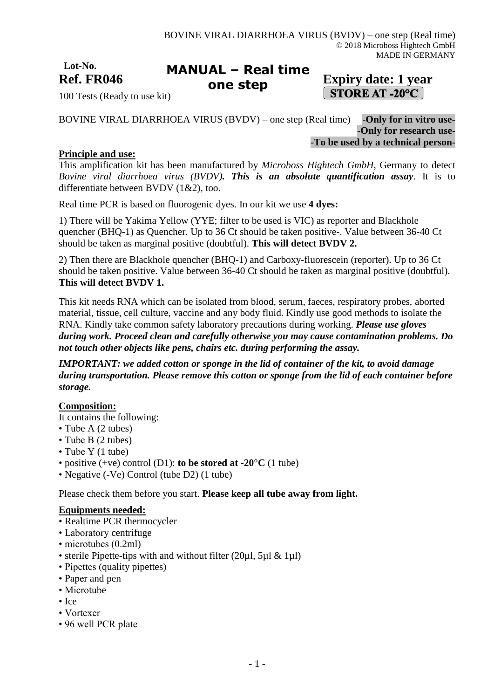**Lot-No.**

#### Ref. FR046 **Expiry date:** 1 year **MANUAL – Real time one step**

# **STORE AT -20°C**

100 Tests (Ready to use kit)

BOVINE VIRAL DIARRHOEA VIRUS (BVDV) – one step (Real time) -**Only for in vitro use-** -**Only for research use-** -**To be used by a technical person-**

## **Principle and use:**

This amplification kit has been manufactured by *Microboss Hightech GmbH*, Germany to detect *Bovine viral diarrhoea virus (BVDV). This is an absolute quantification assay*. It is to differentiate between BVDV (1&2), too.

Real time PCR is based on fluorogenic dyes. In our kit we use **4 dyes:**

1) There will be Yakima Yellow (YYE; filter to be used is VIC) as reporter and Blackhole quencher (BHQ-1) as Quencher. Up to 36 Ct should be taken positive-. Value between 36-40 Ct should be taken as marginal positive (doubtful). **This will detect BVDV 2.**

2) Then there are Blackhole quencher (BHQ-1) and Carboxy-fluorescein (reporter). Up to 36 Ct should be taken positive. Value between 36-40 Ct should be taken as marginal positive (doubtful). **This will detect BVDV 1.**

This kit needs RNA which can be isolated from blood, serum, faeces, respiratory probes, aborted material, tissue, cell culture, vaccine and any body fluid. Kindly use good methods to isolate the RNA. Kindly take common safety laboratory precautions during working. *Please use gloves during work. Proceed clean and carefully otherwise you may cause contamination problems. Do not touch other objects like pens, chairs etc. during performing the assay.*

*IMPORTANT: we added cotton or sponge in the lid of container of the kit, to avoid damage during transportation. Please remove this cotton or sponge from the lid of each container before storage.*

## **Composition:**

It contains the following:

- Tube A (2 tubes)
- Tube B (2 tubes)
- Tube Y (1 tube)
- positive (+ve) control (D1): **to be stored at -20°C** (1 tube)
- Negative (-Ve) Control (tube D2) (1 tube)

Please check them before you start. **Please keep all tube away from light.**

#### **Equipments needed:**

- Realtime PCR thermocycler
- Laboratory centrifuge
- microtubes (0.2ml)
- sterile Pipette-tips with and without filter (20µl, 5µl & 1µl)
- Pipettes (quality pipettes)
- Paper and pen
- Microtube
- Ice
- Vortexer
- 96 well PCR plate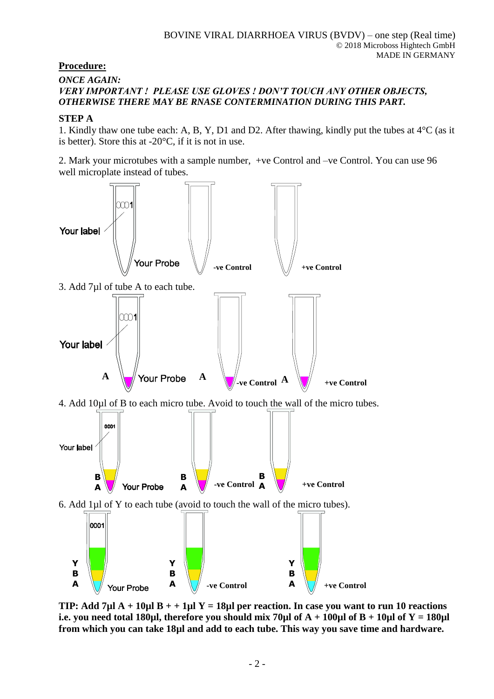## **Procedure:**

#### *ONCE AGAIN: VERY IMPORTANT ! PLEASE USE GLOVES ! DON'T TOUCH ANY OTHER OBJECTS, OTHERWISE THERE MAY BE RNASE CONTERMINATION DURING THIS PART.*

### **STEP A**

1. Kindly thaw one tube each: A, B, Y, D1 and D2. After thawing, kindly put the tubes at 4°C (as it is better). Store this at  $-20^{\circ}$ C, if it is not in use.

2. Mark your microtubes with a sample number, +ve Control and –ve Control. You can use 96 well microplate instead of tubes.



**TIP: Add 7µl A + 10µl B + + 1µl Y = 18µl per reaction. In case you want to run 10 reactions i.e. you need total 180µl, therefore you should mix 70µl of**  $A + 100\mu$ **l of**  $B + 10\mu$ **l of**  $Y = 180\mu$ **l from which you can take 18µl and add to each tube. This way you save time and hardware.**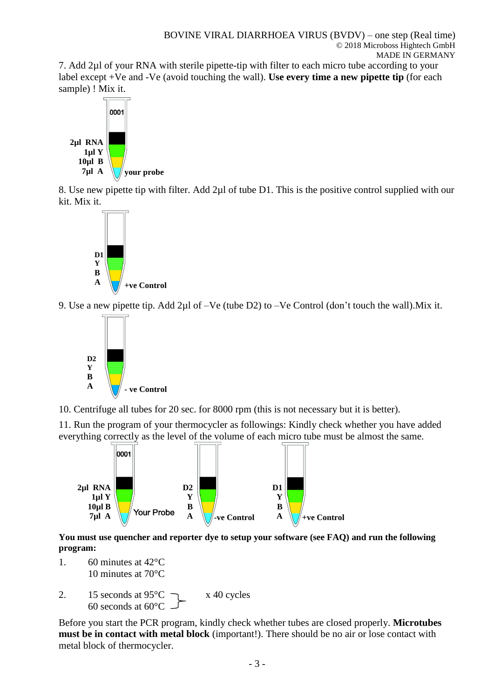7. Add 2µl of your RNA with sterile pipette-tip with filter to each micro tube according to your label except +Ve and -Ve (avoid touching the wall). **Use every time a new pipette tip** (for each sample) ! Mix it.



8. Use new pipette tip with filter. Add 2µl of tube D1. This is the positive control supplied with our kit. Mix it.



9. Use a new pipette tip. Add 2µl of –Ve (tube D2) to –Ve Control (don't touch the wall).Mix it.



10. Centrifuge all tubes for 20 sec. for 8000 rpm (this is not necessary but it is better).

11. Run the program of your thermocycler as followings: Kindly check whether you have added everything correctly as the level of the volume of each micro tube must be almost the same.



**You must use quencher and reporter dye to setup your software (see FAQ) and run the following program:**

- 1. 60 minutes at 42°C 10 minutes at 70°C
- 2. 15 seconds at  $95^{\circ}$ C  $\rightarrow x$  40 cycles 60 seconds at 60°C

Before you start the PCR program, kindly check whether tubes are closed properly. **Microtubes must be in contact with metal block** (important!). There should be no air or lose contact with metal block of thermocycler.